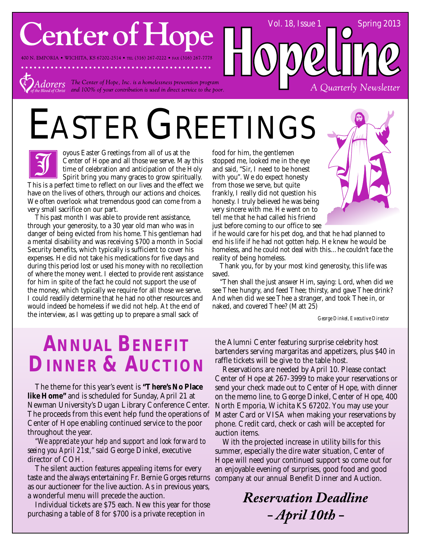## **Center of Hope**

400 N. EMPORIA . WICHITA, KS 67202-2514 . TEL (316) 267-0222 . FAX (316) 267-7778

 $dorers$  The Center of Hope, Inc. is a homelessness prevention program and 100% of your contribution is used in direct service to the poor.

# EASTER GREETINGS



oyous Easter Greetings from all of us at the Center of Hope and all those we serve. May this time of celebration and anticipation of the Holy Spirit bring you many graces to grow spiritually.

This is a perfect time to reflect on our lives and the effect we have on the lives of others, through our actions and choices. We often overlook what tremendous good can come from a very small sacrifice on our part.

This past month I was able to provide rent assistance, through your generosity, to a 30 year old man who was in danger of being evicted from his home. This gentleman had a mental disability and was receiving \$700 a month in Social Security benefits, which typically is sufficient to cover his expenses. He did not take his medications for five days and during this period lost or used his money with no recollection of where the money went. I elected to provide rent assistance for him in spite of the fact he could not support the use of the money, which typically we require for all those we serve. I could readily determine that he had no other resources and would indeed be homeless if we did not help. At the end of the interview, as I was getting up to prepare a small sack of

food for him, the gentlemen stopped me, looked me in the eye and said, "Sir, I need to be honest with you". We do expect honesty from those we serve, but quite frankly, I really did not question his honesty. I truly believed he was being very sincere with me. He went on to tell me that he had called his friend



Vol. 18, Issue 1 Spring 2013

A Quarterly Newsletter

Thank you, for by your most kind generosity, this life was saved.

"Then shall the just answer Him, saying: Lord, when did we see Thee hungry, and feed Thee; thirsty, and gave Thee drink? And when did we see Thee a stranger, and took Thee in, or naked, and covered Thee? (Matt 25)

*George Dinkel, Executive Director*

### **ANNUAL BENEFIT DINNER & AUCTION**

The theme for this year's event is **"There's No Place like Home"** and is scheduled for Sunday, April 21 at Newman University's Dugan Library Conference Center. The proceeds from this event help fund the operations of Center of Hope enabling continued service to the poor throughout the year.

*"We appreciate your help and support and look forward to seeing you April 21st,*" said George Dinkel, executive director of COH.

The silent auction features appealing items for every taste and the always entertaining Fr. Bernie Gorges returns as our auctioneer for the live auction. As in previous years, a wonderful menu will precede the auction.

Individual tickets are \$75 each. New this year for those purchasing a table of 8 for \$700 is a private reception in

the Alumni Center featuring surprise celebrity host bartenders serving margaritas and appetizers, plus \$40 in raffle tickets will be give to the table host.

Reservations are needed by April 10. Please contact Center of Hope at 267-3999 to make your reservations or send your check made out to Center of Hope, with dinner on the memo line, to George Dinkel, Center of Hope, 400 North Emporia, Wichita KS 67202. You may use your Master Card or VISA when making your reservations by phone. Credit card, check or cash will be accepted for auction items.

With the projected increase in utility bills for this summer, especially the dire water situation, Center of Hope will need your continued support so come out for an enjoyable evening of surprises, good food and good company at our annual Benefit Dinner and Auction.

> **Reservation Deadline** - April 10th -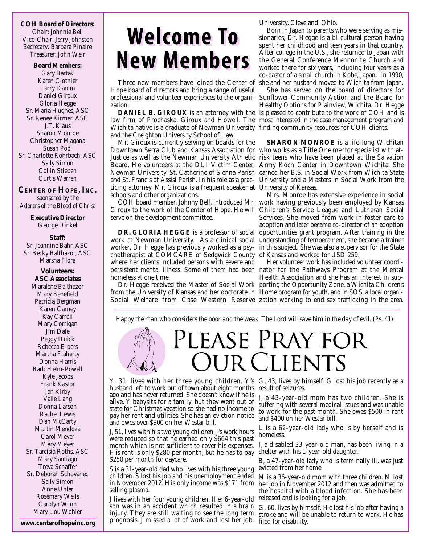**COH Board of Directors:** Chair: Johnnie Bell Vice-Chair: Jerry Johnston Secretary: Barbara Pinaire Treasurer: John Weir

**Board Members:** Gary Bartak Karen Clothier Larry Damm Daniel Giroux Gloria Hegge Sr. Maria Hughes, ASC Sr. Renee Kirmer, ASC J.T. Klaus Sharon Monroe Christopher Magana Susan Pool Sr. Charlotte Rohrbach, ASC Sally Simon Collin Stieben Curtis Warren

**CENTER OF HOPE, INC.** *sponsored by the Adorers of the Blood of Christ*

> **Executive Director** George Dinkel

**Staff:** Sr. Jeannine Bahr, ASC Sr. Becky Balthazor, ASC Marsha Flora

**Volunteers: ASC Associates** Maralene Balthazor Mary Benefield Patricia Bergman Karen Carney Kay Carroll Mary Corrigan Jim Dale Peggy Duick Rebecca Elpers Martha Flaherty Donna Harris Barb Helm-Powell Kyle Jacobs Frank Kastor Jan Kirby Valle Lang Donna Larson Rachel Lewis Dan McCarty Martin Mendoza Carol Meyer Mary Meyer Sr. Tarcisia Roths, ASC Mary Santiago Treva Schaffer Sr. Deborah Schovanec Sally Simon Anne Uhler Rosemary Wells Carolyn Winn Mary Lou Wohler

### Welcome To **New Members**

Three new members have joined the Center of she and her husband moved to Wichita from Japan. Hope board of directors and bring a range of useful professional and volunteer experiences to the organi-Sunflower Community Action and the Board for zation.

law firm of Prochaska, Giroux and Howell. The most interested in the case management program and Wichita native is a graduate of Newman University finding community resources for COH clients. and the Creighton University School of Law.

Mr. Giroux is currently serving on boards for the Downtown Serra Club and Kansas Association for who works as a Title One mentor specialist with at-Justice as well as the Newman University Athletic risk teens who have been placed at the Salvation Board. He volunteers at the DUI Victim Center, Army Koch Center in Downtown Wichita. She Newman University, St. Catherine of Sienna Parish earned her B.S. in Social Work from Wichita State and St. Francis of Assisi Parish. In his role as a practicing attorney, Mr. Giroux is a frequent speaker at University of Kansas. schools and other organizations.

COH board member, Johnny Bell, introduced Mr. Giroux to the work of the Center of Hope. He will Children's Service League and Lutheran Social serve on the development committee.

chotherapist at COMCARE of Sedgwick County of Kansas and worked for USD 259. where her clients included persons with severe and homeless at one time.

from the University of Kansas and her doctorate in Home program for youth, and in SOS, a local organi-

University, Cleveland, Ohio.

Born in Japan to parents who were serving as missionaries, Dr. Hegge is a bi-cultural person having spent her childhood and teen years in that country. After college in the U.S., she returned to Japan with the General Conference Mennonite Church and worked there for six years, including four years as a co-pastor of a small church in Kobe, Japan. In 1990,

**DANIEL B. GIROUX** is an attorney with the is pleased to contribute to the work of COH and is She has served on the board of directors for Healthy Options for Plainview, Wichita. Dr. Hegge

> **SHARON MONROE** is a life-long Wichitan University and a Masters in Social Work from the

**DR. GLORIA HEGGE** is a professor of social opportunities grant program. After training in the work at Newman University. As a clinical social understanding of temperament, she became a trainer worker, Dr. Hegge has previously worked as a psy-in this subject. She was also a supervisor for the State Mrs. Monroe has extensive experience in social work having previously been employed by Kansas Services. She moved from work in foster care to adoption and later became co-director of an adoption

persistent mental illness. Some of them had been nator for the Pathways Program at the Mental Dr. Hegge received the Master of Social Work porting the Opportunity Zone, a Wichita Children's Social Welfare from Case Western Reserve zation working to end sex trafficking in the area.Her volunteer work has included volunteer coordi-Health Association and she has an interest in sup-

*Happy the man who considers the poor and the weak, The Lord will save him in the day of evil. (Ps. 41)*



husband left to work out of town about eight months result of seizures. ago and has never returned. She doesn't know if he is alive. Y babysits for a family, but they went out of state for Christmas vacation so she had no income to pay her rent and utilities. She has an eviction notice and owes over \$900 on her Westar bill.

J, 51, lives with his two young children. J's work hours were reduced so that he earned only \$664 this past month which is not sufficient to cover his expenses. His rent is only \$280 per month, but he has to pay \$250 per month for daycare.

S is a 31-year-old dad who lives with his three young children. S lost his job and his unemployment ended in November 2012. His only income was \$171 from selling plasma.

J lives with her four young children. Her 6-year-old son was in an accident which resulted in a brain injury. They are still waiting to see the long term www.centerofhopeinc.org prognosis. *J* missed a lot of work and lost her job.

Y, 31, lives with her three young children. Y's G, 43, lives by himself. G lost his job recently as a

J, a 43-year-old mom has two children. She is suffering with several medical issues and was unable to work for the past month. She owes \$500 in rent and \$400 on her Westar bill.

L is a 62-year-old lady who is by herself and is homeless.

J, a disabled 33-year-old man, has been living in a shelter with his 1-year-old daughter.

B, a 47-year-old lady who is terminally ill, was just evicted from her home.

M is a 36-year-old mom with three children. M lost her job in November 2012 and then was admitted to the hospital with a blood infection. She has been released and is looking for a job.

G, 60, lives by himself. He lost his job after having a stroke and will be unable to return to work. He has filed for disability.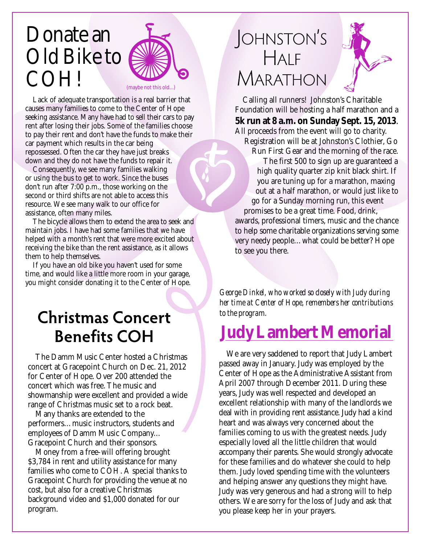### Donate an Old Bike to COH!



Lack of adequate transportation is a real barrier that causes many families to come to the Center of Hope seeking assistance. Many have had to sell their cars to pay rent after losing their jobs. Some of the families choose to pay their rent and don't have the funds to make their car payment which results in the car being repossessed. Often the car they have just breaks down and they do not have the funds to repair it.

Consequently, we see many families walking or using the bus to get to work. Since the buses don't run after 7:00 p.m., those working on the second or third shifts are not able to access this resource. We see many walk to our office for assistance, often many miles.

The bicycle allows them to extend the area to seek and maintain jobs. I have had some families that we have helped with a month's rent that were more excited about receiving the bike than the rent assistance, as it allows them to help themselves.

If you have an old bike you haven't used for some time, and would like a little more room in your garage, you might consider donating it to the Center of Hope.

#### **Christmas Concert Benefits COH**

The Damm Music Center hosted a Christmas concert at Gracepoint Church on Dec. 21, 2012 for Center of Hope. Over 200 attended the concert which was free. The music and showmanship were excellent and provided a wide range of Christmas music set to a rock beat.

Many thanks are extended to the performers…music instructors, students and employees of Damm Music Company… Gracepoint Church and their sponsors.

Money from a free-will offering brought \$3,784 in rent and utility assistance for many families who come to COH. A special thanks to Gracepoint Church for providing the venue at no cost, but also for a creative Christmas background video and \$1,000 donated for our program.

### JOHNSTON'S HALF MARATHON



Calling all runners! Johnston's Charitable Foundation will be hosting a half marathon and a **5k run at 8 a.m. on Sunday Sept. 15, 2013**. All proceeds from the event will go to charity. Registration will be at Johnston's Clothier, Go Run First Gear and the morning of the race. The first 500 to sign up are guaranteed a high quality quarter zip knit black shirt. If you are tuning up for a marathon, maxing out at a half marathon, or would just like to go for a Sunday morning run, this event promises to be a great time. Food, drink, awards, professional timers, music and the chance to help some charitable organizations serving some very needy people…what could be better? Hope to see you there.

*George Dinkel, who worked so closely with Judy during her time at Center of Hope, remembers her contributions to the program.*

#### **Judy Lambert Memorial**

We are very saddened to report that Judy Lambert passed away in January. Judy was employed by the Center of Hope as the Administrative Assistant from April 2007 through December 2011. During these years, Judy was well respected and developed an excellent relationship with many of the landlords we deal with in providing rent assistance. Judy had a kind heart and was always very concerned about the families coming to us with the greatest needs. Judy especially loved all the little children that would accompany their parents. She would strongly advocate for these families and do whatever she could to help them. Judy loved spending time with the volunteers and helping answer any questions they might have. Judy was very generous and had a strong will to help others. We are sorry for the loss of Judy and ask that you please keep her in your prayers.